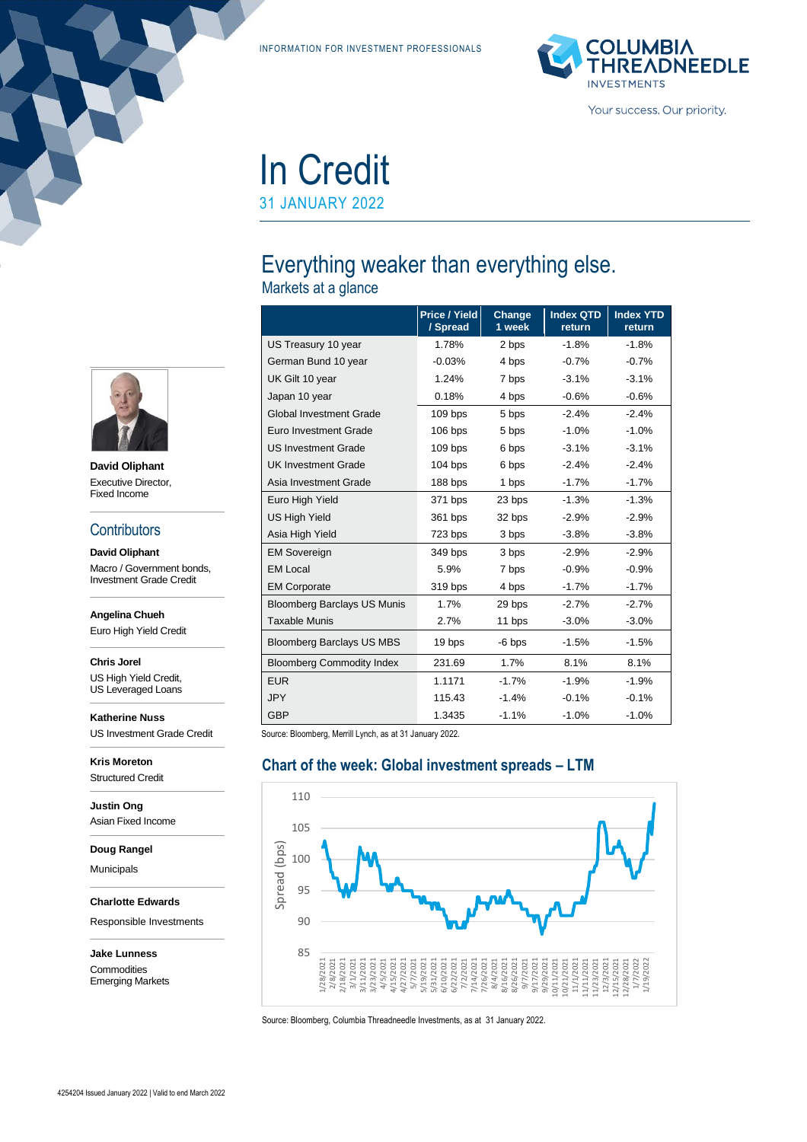INFORMATION FOR INVESTMENT PROFESSIONALS



# In Credit

31 JANUARY 2022

## Everything weaker than everything else.

Markets at a glance

|                                    | Price / Yield<br>/ Spread | Change<br>1 week | <b>Index QTD</b><br>return | <b>Index YTD</b><br>return |
|------------------------------------|---------------------------|------------------|----------------------------|----------------------------|
| US Treasury 10 year                | 1.78%                     | 2 bps            | $-1.8%$                    | $-1.8%$                    |
| German Bund 10 year                | $-0.03%$                  | 4 bps            | $-0.7%$                    | $-0.7%$                    |
| UK Gilt 10 year                    | 1.24%                     | 7 bps            | $-3.1%$                    | $-3.1%$                    |
| Japan 10 year                      | 0.18%                     | 4 bps            | $-0.6%$                    | $-0.6%$                    |
| <b>Global Investment Grade</b>     | $109$ bps                 | 5 bps            | $-2.4%$                    | $-2.4%$                    |
| Euro Investment Grade              | 106 bps                   | 5 bps            | $-1.0%$                    | $-1.0%$                    |
| <b>US Investment Grade</b>         | $109$ bps                 | 6 bps            | $-3.1%$                    | $-3.1%$                    |
| <b>UK Investment Grade</b>         | $104$ bps                 | 6 bps            | $-2.4%$                    | $-2.4%$                    |
| Asia Investment Grade              | 188 bps                   | 1 bps            | $-1.7%$                    | $-1.7%$                    |
| Euro High Yield                    | 371 bps                   | 23 bps           | $-1.3%$                    | $-1.3%$                    |
| <b>US High Yield</b>               | 361 bps                   | 32 bps           | $-2.9%$                    | $-2.9%$                    |
| Asia High Yield                    | 723 bps                   | 3 bps            | $-3.8%$                    | $-3.8%$                    |
| <b>EM Sovereign</b>                | 349 bps                   | 3 bps            | $-2.9%$                    | $-2.9%$                    |
| <b>EM Local</b>                    | 5.9%                      | 7 bps            | $-0.9%$                    | $-0.9%$                    |
| <b>EM Corporate</b>                | 319 bps                   | 4 bps            | $-1.7%$                    | $-1.7%$                    |
| <b>Bloomberg Barclays US Munis</b> | 1.7%                      | 29 bps           | $-2.7%$                    | $-2.7%$                    |
| <b>Taxable Munis</b>               | 2.7%                      | 11 bps           | $-3.0%$                    | $-3.0%$                    |
| <b>Bloomberg Barclays US MBS</b>   | 19 bps                    | $-6$ bps         | $-1.5%$                    | $-1.5%$                    |
| <b>Bloomberg Commodity Index</b>   | 231.69                    | 1.7%             | 8.1%                       | 8.1%                       |
| <b>EUR</b>                         | 1.1171                    | $-1.7%$          | $-1.9%$                    | $-1.9%$                    |
| <b>JPY</b>                         | 115.43                    | $-1.4%$          | $-0.1%$                    | $-0.1%$                    |
| <b>GBP</b>                         | 1.3435                    | $-1.1%$          | $-1.0%$                    | $-1.0%$                    |

Source: Bloomberg, Merrill Lynch, as at 31 January 2022.

#### **Chart of the week: Global investment spreads – LTM**



Source: Bloomberg, Columbia Threadneedle Investments, as at 31 January 2022.



**David Oliphant** Executive Director, Fixed Income

#### **Contributors**

**David Oliphant** Macro / Government bonds, Investment Grade Credit

**Angelina Chueh**

Euro High Yield Credit

**Chris Jorel**

US High Yield Credit, US Leveraged Loans

**Katherine Nuss** US Investment Grade Credit

**Kris Moreton** Structured Credit

**Justin Ong** Asian Fixed Income

**Doug Rangel**

Municipals

**Charlotte Edwards**

Responsible Investments

**Jake Lunness Commodities** Emerging Markets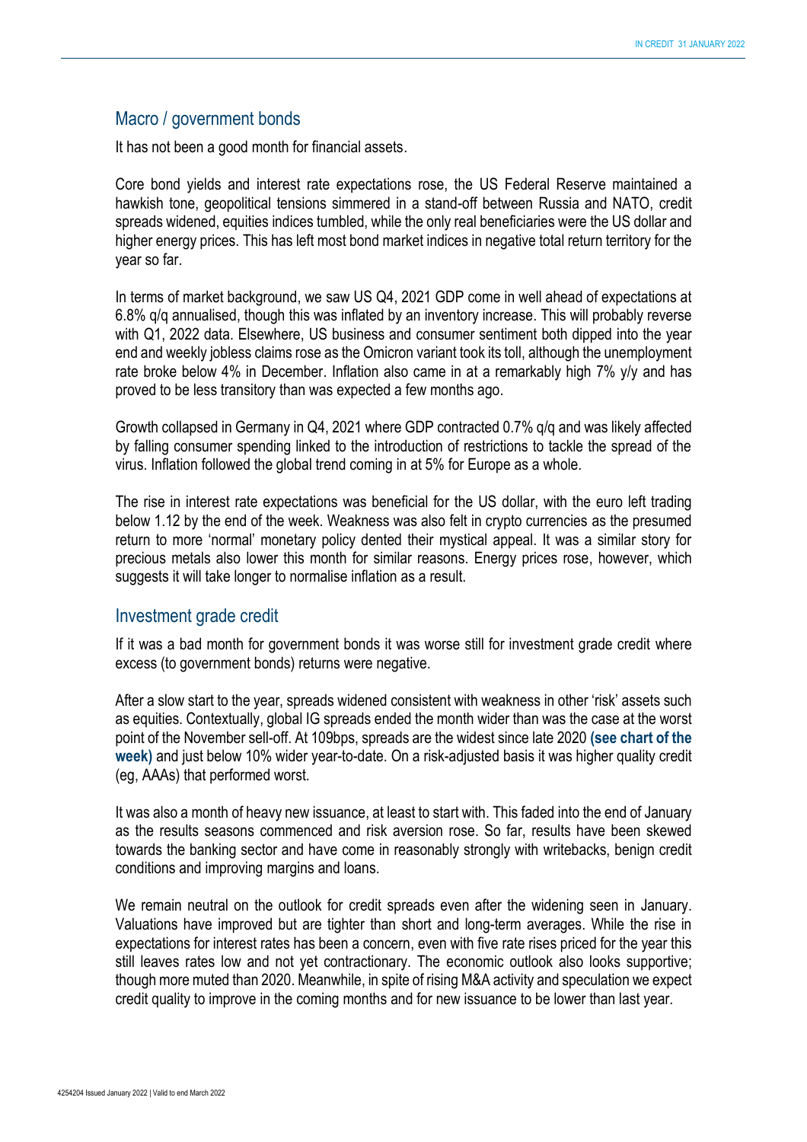#### Macro / government bonds

It has not been a good month for financial assets.

Core bond yields and interest rate expectations rose, the US Federal Reserve maintained a hawkish tone, geopolitical tensions simmered in a stand-off between Russia and NATO, credit spreads widened, equities indices tumbled, while the only real beneficiaries were the US dollar and higher energy prices. This has left most bond market indices in negative total return territory for the year so far.

In terms of market background, we saw US Q4, 2021 GDP come in well ahead of expectations at 6.8% q/q annualised, though this was inflated by an inventory increase. This will probably reverse with Q1, 2022 data. Elsewhere, US business and consumer sentiment both dipped into the year end and weekly jobless claims rose as the Omicron variant took its toll, although the unemployment rate broke below 4% in December. Inflation also came in at a remarkably high 7% y/y and has proved to be less transitory than was expected a few months ago.

Growth collapsed in Germany in Q4, 2021 where GDP contracted 0.7% q/q and was likely affected by falling consumer spending linked to the introduction of restrictions to tackle the spread of the virus. Inflation followed the global trend coming in at 5% for Europe as a whole.

The rise in interest rate expectations was beneficial for the US dollar, with the euro left trading below 1.12 by the end of the week. Weakness was also felt in crypto currencies as the presumed return to more 'normal' monetary policy dented their mystical appeal. It was a similar story for precious metals also lower this month for similar reasons. Energy prices rose, however, which suggests it will take longer to normalise inflation as a result.

#### Investment grade credit

If it was a bad month for government bonds it was worse still for investment grade credit where excess (to government bonds) returns were negative.

After a slow start to the year, spreads widened consistent with weakness in other 'risk' assets such as equities. Contextually, global IG spreads ended the month wider than was the case at the worst point of the November sell-off. At 109bps, spreads are the widest since late 2020 **(see chart of the week)** and just below 10% wider year-to-date. On a risk-adjusted basis it was higher quality credit (eg, AAAs) that performed worst.

It was also a month of heavy new issuance, at least to start with. This faded into the end of January as the results seasons commenced and risk aversion rose. So far, results have been skewed towards the banking sector and have come in reasonably strongly with writebacks, benign credit conditions and improving margins and loans.

We remain neutral on the outlook for credit spreads even after the widening seen in January. Valuations have improved but are tighter than short and long-term averages. While the rise in expectations for interest rates has been a concern, even with five rate rises priced for the year this still leaves rates low and not yet contractionary. The economic outlook also looks supportive; though more muted than 2020. Meanwhile, in spite of rising M&A activity and speculation we expect credit quality to improve in the coming months and for new issuance to be lower than last year.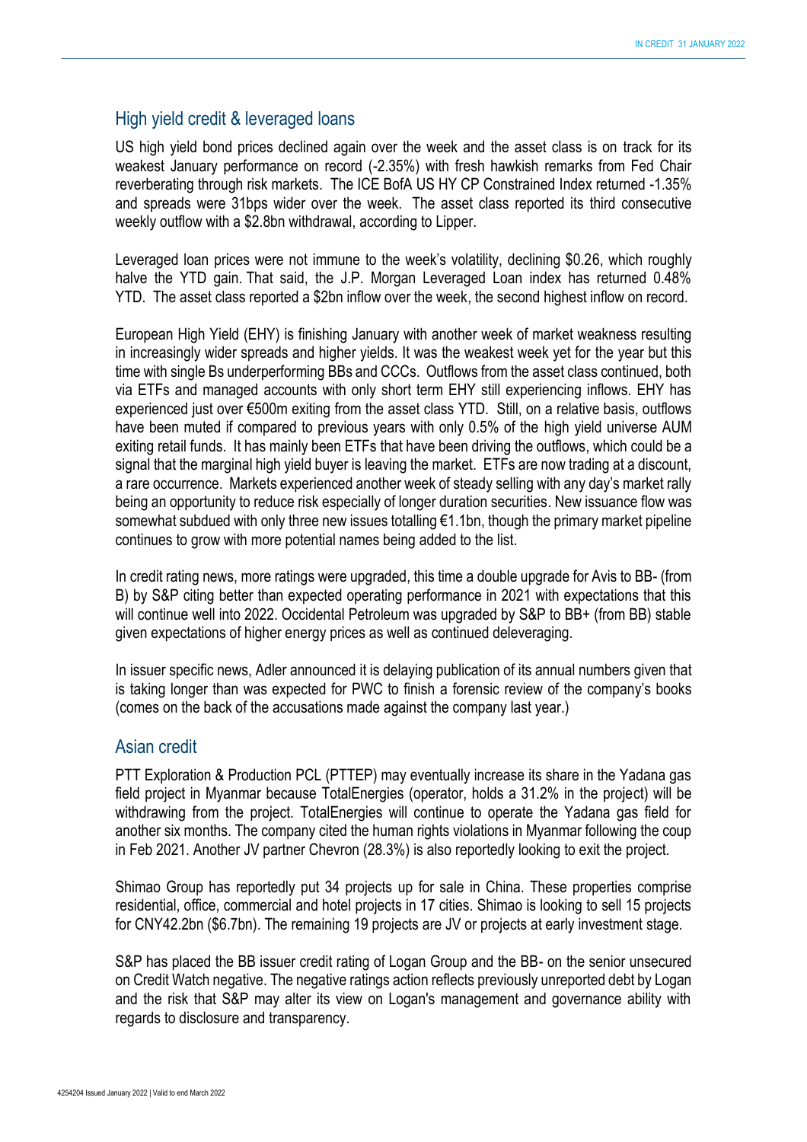#### High yield credit & leveraged loans

US high yield bond prices declined again over the week and the asset class is on track for its weakest January performance on record (-2.35%) with fresh hawkish remarks from Fed Chair reverberating through risk markets. The ICE BofA US HY CP Constrained Index returned -1.35% and spreads were 31bps wider over the week. The asset class reported its third consecutive weekly outflow with a \$2.8bn withdrawal, according to Lipper.

Leveraged loan prices were not immune to the week's volatility, declining \$0.26, which roughly halve the YTD gain. That said, the J.P. Morgan Leveraged Loan index has returned 0.48% YTD. The asset class reported a \$2bn inflow over the week, the second highest inflow on record.

European High Yield (EHY) is finishing January with another week of market weakness resulting in increasingly wider spreads and higher yields. It was the weakest week yet for the year but this time with single Bs underperforming BBs and CCCs. Outflows from the asset class continued, both via ETFs and managed accounts with only short term EHY still experiencing inflows. EHY has experienced just over €500m exiting from the asset class YTD. Still, on a relative basis, outflows have been muted if compared to previous years with only 0.5% of the high yield universe AUM exiting retail funds. It has mainly been ETFs that have been driving the outflows, which could be a signal that the marginal high yield buyer is leaving the market. ETFs are now trading at a discount, a rare occurrence. Markets experienced another week of steady selling with any day's market rally being an opportunity to reduce risk especially of longer duration securities. New issuance flow was somewhat subdued with only three new issues totalling  $\epsilon$ 1.1bn, though the primary market pipeline continues to grow with more potential names being added to the list.

In credit rating news, more ratings were upgraded, this time a double upgrade for Avis to BB- (from B) by S&P citing better than expected operating performance in 2021 with expectations that this will continue well into 2022. Occidental Petroleum was upgraded by S&P to BB+ (from BB) stable given expectations of higher energy prices as well as continued deleveraging.

In issuer specific news, Adler announced it is delaying publication of its annual numbers given that is taking longer than was expected for PWC to finish a forensic review of the company's books (comes on the back of the accusations made against the company last year.)

#### Asian credit

PTT Exploration & Production PCL (PTTEP) may eventually increase its share in the Yadana gas field project in Myanmar because TotalEnergies (operator, holds a 31.2% in the project) will be withdrawing from the project. TotalEnergies will continue to operate the Yadana gas field for another six months. The company cited the human rights violations in Myanmar following the coup in Feb 2021. Another JV partner Chevron (28.3%) is also reportedly looking to exit the project.

Shimao Group has reportedly put 34 projects up for sale in China. These properties comprise residential, office, commercial and hotel projects in 17 cities. Shimao is looking to sell 15 projects for CNY42.2bn (\$6.7bn). The remaining 19 projects are JV or projects at early investment stage.

S&P has placed the BB issuer credit rating of Logan Group and the BB- on the senior unsecured on Credit Watch negative. The negative ratings action reflects previously unreported debt by Logan and the risk that S&P may alter its view on Logan's management and governance ability with regards to disclosure and transparency.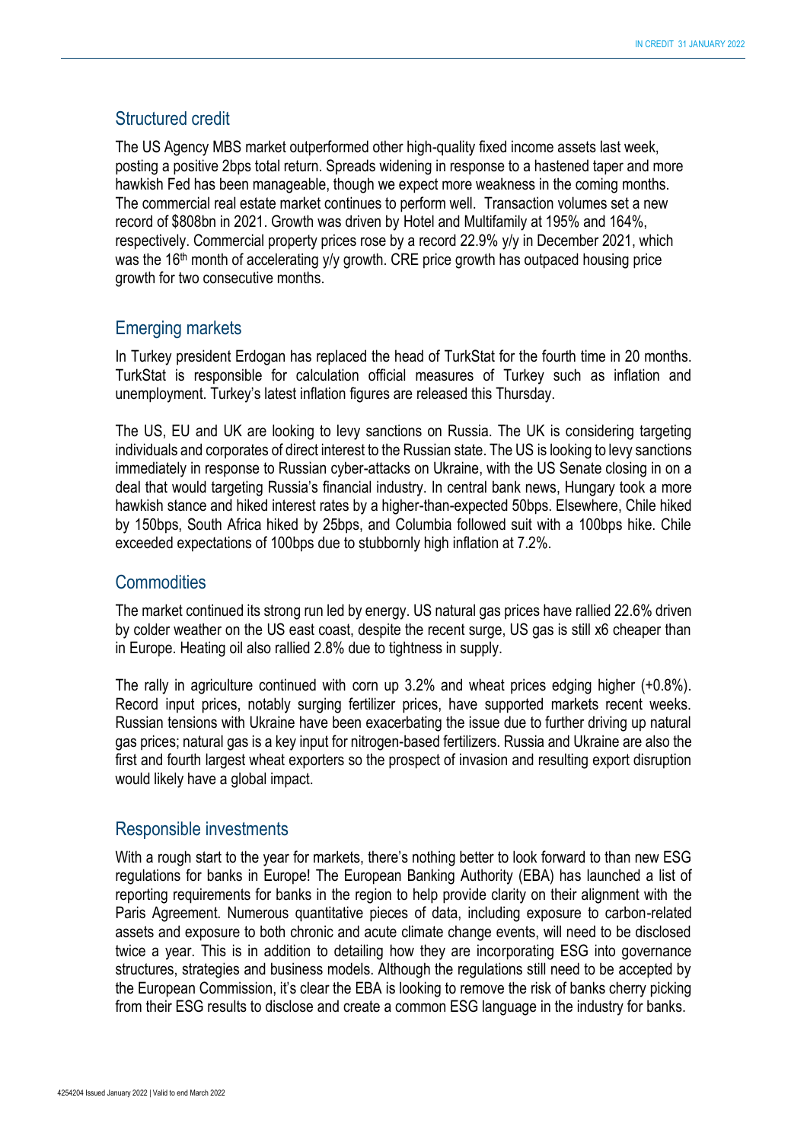#### Structured credit

The US Agency MBS market outperformed other high-quality fixed income assets last week, posting a positive 2bps total return. Spreads widening in response to a hastened taper and more hawkish Fed has been manageable, though we expect more weakness in the coming months. The commercial real estate market continues to perform well. Transaction volumes set a new record of \$808bn in 2021. Growth was driven by Hotel and Multifamily at 195% and 164%, respectively. Commercial property prices rose by a record 22.9% y/y in December 2021, which was the 16<sup>th</sup> month of accelerating y/y growth. CRE price growth has outpaced housing price growth for two consecutive months.

#### Emerging markets

In Turkey president Erdogan has replaced the head of TurkStat for the fourth time in 20 months. TurkStat is responsible for calculation official measures of Turkey such as inflation and unemployment. Turkey's latest inflation figures are released this Thursday.

The US, EU and UK are looking to levy sanctions on Russia. The UK is considering targeting individuals and corporates of direct interest to the Russian state. The US is looking to levy sanctions immediately in response to Russian cyber-attacks on Ukraine, with the US Senate closing in on a deal that would targeting Russia's financial industry. In central bank news, Hungary took a more hawkish stance and hiked interest rates by a higher-than-expected 50bps. Elsewhere, Chile hiked by 150bps, South Africa hiked by 25bps, and Columbia followed suit with a 100bps hike. Chile exceeded expectations of 100bps due to stubbornly high inflation at 7.2%.

#### **Commodities**

The market continued its strong run led by energy. US natural gas prices have rallied 22.6% driven by colder weather on the US east coast, despite the recent surge, US gas is still x6 cheaper than in Europe. Heating oil also rallied 2.8% due to tightness in supply.

The rally in agriculture continued with corn up 3.2% and wheat prices edging higher (+0.8%). Record input prices, notably surging fertilizer prices, have supported markets recent weeks. Russian tensions with Ukraine have been exacerbating the issue due to further driving up natural gas prices; natural gas is a key input for nitrogen-based fertilizers. Russia and Ukraine are also the first and fourth largest wheat exporters so the prospect of invasion and resulting export disruption would likely have a global impact.

#### Responsible investments

With a rough start to the year for markets, there's nothing better to look forward to than new ESG regulations for banks in Europe! The European Banking Authority (EBA) has launched a list of reporting requirements for banks in the region to help provide clarity on their alignment with the Paris Agreement. Numerous quantitative pieces of data, including exposure to carbon-related assets and exposure to both chronic and acute climate change events, will need to be disclosed twice a year. This is in addition to detailing how they are incorporating ESG into governance structures, strategies and business models. Although the regulations still need to be accepted by the European Commission, it's clear the EBA is looking to remove the risk of banks cherry picking from their ESG results to disclose and create a common ESG language in the industry for banks.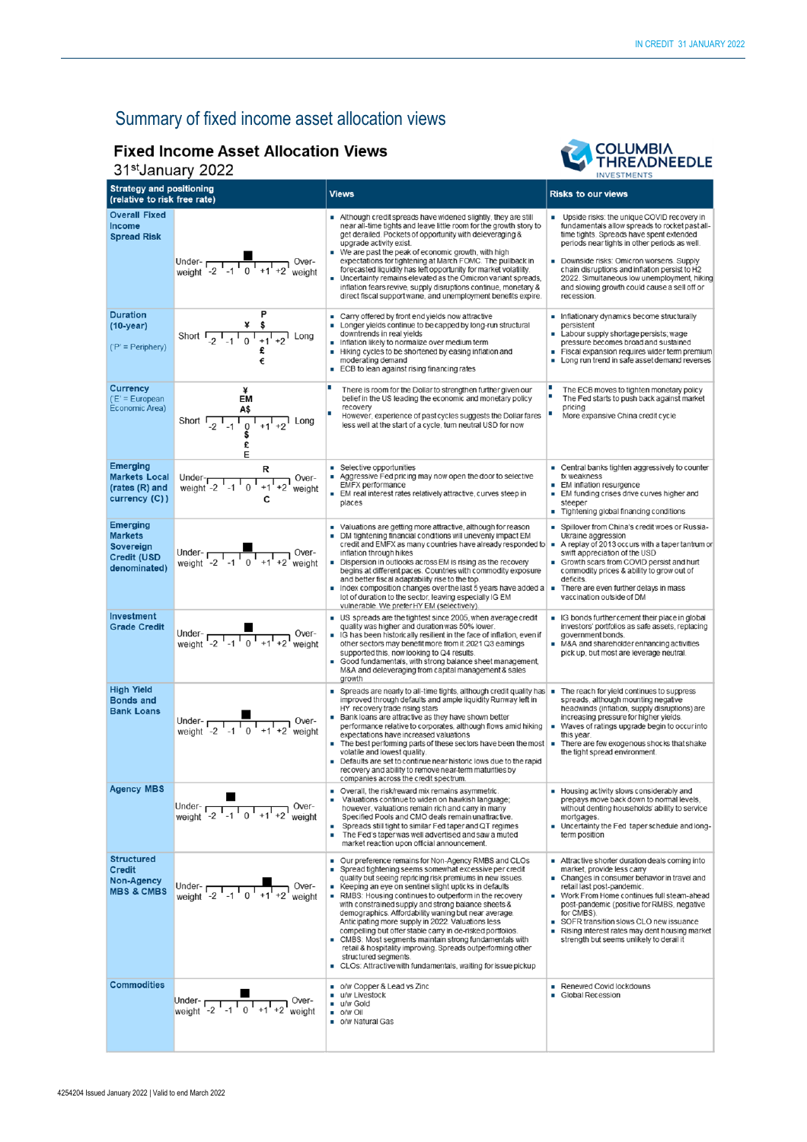### Summary of fixed income asset allocation views

#### **Fixed Income Asset Allocation Views**

#### 31st January 2022



| UT DUITUUT LULL                                                                      |                                                                                                                                    |                                                                                                                                                                                                                                                                                                                                                                                                                                                                                                                                                                                                                                                                                                                                                             | <b>INVESTMENTS</b>                                                                                                                                                                                                                                                                                                                                                                                          |  |
|--------------------------------------------------------------------------------------|------------------------------------------------------------------------------------------------------------------------------------|-------------------------------------------------------------------------------------------------------------------------------------------------------------------------------------------------------------------------------------------------------------------------------------------------------------------------------------------------------------------------------------------------------------------------------------------------------------------------------------------------------------------------------------------------------------------------------------------------------------------------------------------------------------------------------------------------------------------------------------------------------------|-------------------------------------------------------------------------------------------------------------------------------------------------------------------------------------------------------------------------------------------------------------------------------------------------------------------------------------------------------------------------------------------------------------|--|
| <b>Strategy and positioning</b><br>(relative to risk free rate)                      |                                                                                                                                    | <b>Views</b>                                                                                                                                                                                                                                                                                                                                                                                                                                                                                                                                                                                                                                                                                                                                                | <b>Risks to our views</b>                                                                                                                                                                                                                                                                                                                                                                                   |  |
| <b>Overall Fixed</b><br><b>Income</b><br><b>Spread Risk</b>                          | Under-<br>weight $-2$ $-1$ $1$ $0$ $+1$ $+2$ weight                                                                                | Although credit spreads have widened slightly, they are still<br>near all-time tights and leave little room for the growth story to<br>get derailed. Pockets of opportunity with deleveraging &<br>upgrade activity exist.<br>We are past the peak of economic growth, with high<br>expectations for tightening at March FOMC. The pullback in<br>forecasted liquidity has left opportunity for market volatility.<br>Uncertainty remains elevated as the Omicron variant spreads,<br>inflation fears revive, supply disruptions continue, monetary &<br>direct fiscal support wane, and unemployment benefits expire.                                                                                                                                      | Upside risks: the unique COVID recovery in<br>fundamentals allow spreads to rocket past all-<br>time tights. Spreads have spent extended<br>periods near tights in other periods as well.<br>Downside risks: Omicron worsens. Supply<br>chain disruptions and inflation persist to H2<br>2022. Simultaneous low unemployment, hiking<br>and slowing growth could cause a sell off or<br>recession.          |  |
| <b>Duration</b><br>$(10-year)$<br>$('P' = Periphery)$                                | Short $\frac{4}{-2}$ $\frac{4}{-1}$ $\frac{5}{0}$ $\frac{1}{+1}$ $\frac{1}{+2}$ Long<br>€                                          | Carry offered by front end yields now attractive<br>Longer yields continue to be capped by long-run structural<br>٠<br>downtrends in real yields<br>Inflation likely to normalize over medium term<br>Hiking cycles to be shortened by easing inflation and<br>moderating demand<br>■ ECB to lean against rising financing rates                                                                                                                                                                                                                                                                                                                                                                                                                            | Inflationary dynamics become structurally<br>persistent<br>Labour supply shortage persists; wage<br>pressure becomes broad and sustained<br>Fiscal expansion requires wider term premium<br>$\blacksquare$<br>• Long run trend in safe asset demand reverses                                                                                                                                                |  |
| Currency<br>$(E)$ = European<br>Economic Area)                                       | ¥<br>EM<br>Short $\frac{A\$ }{}_{-2} $\frac{1}{1}$ $\frac{1}{0}$ $\frac{1}{1}$ $\frac{1}{1}$ $\frac{1}{1}$ $\frac{1}{2}$ Long<br>E | There is room for the Dollar to strengthen further given our<br>belief in the US leading the economic and monetary policy<br>recovery<br>However, experience of past cycles suggests the Dollar fares<br>less well at the start of a cycle, tum neutral USD for now                                                                                                                                                                                                                                                                                                                                                                                                                                                                                         | The ECB moves to tighten monetary policy<br>٠<br>The Fed starts to push back against market<br>pricing<br>More expansive China credit cycle                                                                                                                                                                                                                                                                 |  |
| <b>Emerging</b><br><b>Markets Local</b><br>(rates (R) and<br>currency (C))           | R<br>Under- $\frac{1}{1}$ -1 $\frac{1}{0}$ +1 +2<br>Over-<br>weight<br>C                                                           | Selective opportunities<br>$\mathbf{r}$<br>Aggressive Fed pricing may now open the door to selective<br>EMFX performance<br>EM real interest rates relatively attractive, curves steep in<br>places                                                                                                                                                                                                                                                                                                                                                                                                                                                                                                                                                         | • Central banks tighten aggressively to counter<br>fx weakness<br>EM inflation resurgence<br>■ EM funding crises drive curves higher and<br>steeper<br>Tightening global financing conditions                                                                                                                                                                                                               |  |
| <b>Emerging</b><br><b>Markets</b><br>Sovereign<br><b>Credit (USD</b><br>denominated) | Under- $\frac{1}{\sqrt{1-1} + 1}$ Over-<br>weight $-2$ -1 0 +1 +2 weight                                                           | Valuations are getting more attractive, although for reason<br>DM tightening financial conditions will unevenly impact EM<br>credit and EMFX as many countries have already responded to $\blacksquare$<br>inflation through hikes<br>Dispersion in outlooks across EM is rising as the recovery<br>begins at different paces. Countries with commodity exposure<br>and better fiscal adaptability rise to the top.<br>Index composition changes over the last 5 years have added a<br>m.<br>lot of duration to the sector, leaving especially IG EM<br>vulnerable. We prefer HY EM (selectively)                                                                                                                                                           | Spillover from China's credit woes or Russia-<br>Ukraine aggression<br>A replay of 2013 occurs with a taper tantrum or<br>swift appreciation of the USD<br>Growth scars from COVID persist and hurt<br>commodity prices & ability to grow out of<br>deficits.<br>There are even further delays in mass<br>a.<br>vaccination outside of DM                                                                   |  |
| Investment<br><b>Grade Credit</b>                                                    | Under-<br>weight $\begin{array}{cc} 1 & 0 \\ -2 & -1 & 0 \\ 1 & 1 & +1 \\ 2 & 0 & +1 \end{array}$ Over-                            | US spreads are the tightest since 2005, when average credit<br>quality was higher and duration was 50% lower.<br>IG has been historically resilient in the face of inflation, even if<br>other sectors may benefit more from it 2021 Q3 eamings<br>supported this, now looking to Q4 results.<br>Good fundamentals, with strong balance sheet management,<br>٠<br>M&A and deleveraging from capital management & sales<br>growth                                                                                                                                                                                                                                                                                                                            | G bonds further cement their place in global<br>investors' portfolios as safe assets, replacing<br>government bonds.<br>• M&A and shareholder enhancing activities<br>pick up, but most are leverage neutral.                                                                                                                                                                                               |  |
| <b>High Yield</b><br><b>Bonds and</b><br><b>Bank Loans</b>                           | Under- $\frac{1}{\sqrt{1-1} + 1}$ Over-<br>weight -2 -1 0 +1 +2 weight                                                             | Spreads are nearly to all-time tights, although credit quality has =<br>improved through defaults and ample liquidity Runway left in<br>HY recovery trade rising stars<br>Bank loans are attractive as they have shown better<br>performance relative to corporates, although flows amid hiking<br>expectations have increased valuations<br>$\blacksquare$ The best performing parts of these sectors have been the most<br>volatile and lowest quality.<br>Defaults are set to continue near historic lows due to the rapid<br>п<br>recovery and ability to remove near-term maturities by<br>companies across the credit spectrum.                                                                                                                       | The reach for yield continues to suppress<br>spreads, although mounting negative<br>headwinds (inflation, supply disruptions) are<br>increasing pressure for higher yields.<br>Waves of ratings upgrade begin to occur into<br>٠<br>this year.<br>There are few exogenous shocks that shake<br>$\mathbf{r}$<br>the tight spread environment.                                                                |  |
| <b>Agency MBS</b>                                                                    | Under- $\sqrt{\frac{1}{1 - 2}}$ -1 $\sqrt{1 + 1 + 2}$ weight                                                                       | • Overall, the risk/reward mix remains asymmetric.<br>Valuations continue to widen on hawkish language;<br>however, valuations remain rich and carry in many<br>Specified Pools and CMO deals remain unattractive.<br>Spreads still tight to similar Fed taper and QT regimes<br>ш<br>٠<br>The Fed's taper was well advertised and saw a muted<br>market reaction upon official announcement.                                                                                                                                                                                                                                                                                                                                                               | Housing activity slows considerably and<br>prepays move back down to normal levels,<br>without denting households' ability to service<br>mortgages.<br>Uncertainty the Fed taper schedule and long-<br>term position                                                                                                                                                                                        |  |
| <b>Structured</b><br><b>Credit</b><br><b>Non-Agency</b><br><b>MBS &amp; CMBS</b>     | Under- $\frac{1}{2}$ , $\frac{1}{2}$ , $\frac{1}{2}$ , $\frac{1}{2}$ , $\frac{1}{2}$ , $\frac{1}{2}$ weight                        | Our preference remains for Non-Agency RMBS and CLOs<br>ш<br>Spread tightening seems somewhat excessive per credit<br>quality but seeing repricing risk premiums in new issues.<br>Keeping an eye on sentinel slight upticks in defaults<br>٠<br>RMBS: Housing continues to outperform in the recovery<br>with constrained supply and strong balance sheets &<br>demographics. Affordability waning but near average.<br>Anticipating more supply in 2022. Valuations less<br>compelling but offer stable carry in de-risked portfolios.<br>■ CMBS: Most segments maintain strong fundamentals with<br>retail & hospitality improving. Spreads outperforming other<br>structured segments.<br>• CLOs: Attractive with fundamentals, waiting for issue pickup | Attractive shorter duration deals coming into<br>market, provide less carry<br>• Changes in consumer behavior in travel and<br>retail last post-pandemic.<br>■ Work From Home continues full steam-ahead<br>post-pandemic (positive for RMBS, negative<br>for CMBS).<br>SOFR transition slows CLO new issuance<br>Rising interest rates may dent housing market<br>strength but seems unlikely to derail it |  |
| <b>Commodities</b>                                                                   | Under- $\frac{1}{\sqrt{2} \cdot 1 \cdot 1}$ 0 $\frac{1}{\sqrt{1} \cdot 1 \cdot 2}$ over-                                           | o/w Copper & Lead vs Zinc<br>$\blacksquare$<br>u/w Livestock<br>u/w Gold<br>$\blacksquare$ o/w Oil<br>o/w Natural Gas                                                                                                                                                                                                                                                                                                                                                                                                                                                                                                                                                                                                                                       | Renewed Covid lockdowns<br>Global Recession                                                                                                                                                                                                                                                                                                                                                                 |  |